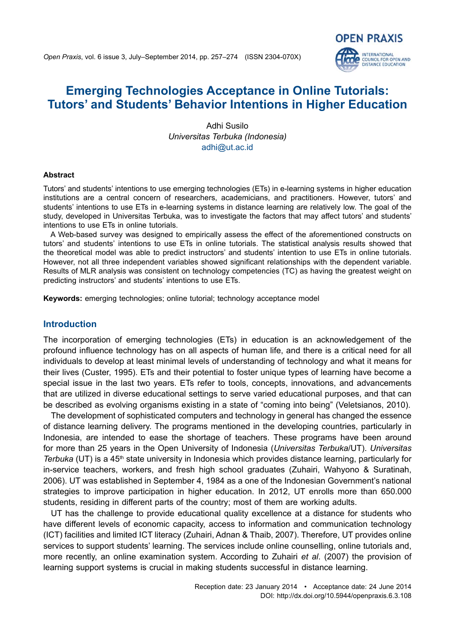# **Emerging Technologies Acceptance in Online Tutorials: Tutors' and Students' Behavior Intentions in Higher Education**

**OPEN PRAXIS** 

**INTERNATIONAL COUNCIL FOR OPEN AND**<br>DISTANCE EDUCATION

Adhi Susilo *Universitas Terbuka (Indonesia)* [adhi@ut.ac.id](mailto:adhi@ut.ac.id)

#### **Abstract**

Tutors' and students' intentions to use emerging technologies (ETs) in e-learning systems in higher education institutions are a central concern of researchers, academicians, and practitioners. However, tutors' and students' intentions to use ETs in e-learning systems in distance learning are relatively low. The goal of the study, developed in Universitas Terbuka, was to investigate the factors that may affect tutors' and students' intentions to use ETs in online tutorials.

A Web-based survey was designed to empirically assess the effect of the aforementioned constructs on tutors' and students' intentions to use ETs in online tutorials. The statistical analysis results showed that the theoretical model was able to predict instructors' and students' intention to use ETs in online tutorials. However, not all three independent variables showed significant relationships with the dependent variable. Results of MLR analysis was consistent on technology competencies (TC) as having the greatest weight on predicting instructors' and students' intentions to use ETs.

**Keywords:** emerging technologies; online tutorial; technology acceptance model

## **Introduction**

The incorporation of emerging technologies (ETs) in education is an acknowledgement of the profound influence technology has on all aspects of human life, and there is a critical need for all individuals to develop at least minimal levels of understanding of technology and what it means for their lives (Custer, 1995). ETs and their potential to foster unique types of learning have become a special issue in the last two years. ETs refer to tools, concepts, innovations, and advancements that are utilized in diverse educational settings to serve varied educational purposes, and that can be described as evolving organisms existing in a state of "coming into being" (Veletsianos, 2010).

The development of sophisticated computers and technology in general has changed the essence of distance learning delivery. The programs mentioned in the developing countries, particularly in Indonesia, are intended to ease the shortage of teachers. These programs have been around for more than 25 years in the Open University of Indonesia (*Universitas Terbuka*/UT). *Universitas Terbuka* (UT) is a 45<sup>th</sup> state university in Indonesia which provides distance learning, particularly for in-service teachers, workers, and fresh high school graduates (Zuhairi, Wahyono & Suratinah, 2006). UT was established in September 4, 1984 as a one of the Indonesian Government's national strategies to improve participation in higher education. In 2012, UT enrolls more than 650.000 students, residing in different parts of the country; most of them are working adults.

UT has the challenge to provide educational quality excellence at a distance for students who have different levels of economic capacity, access to information and communication technology (ICT) facilities and limited ICT literacy (Zuhairi, Adnan & Thaib, 2007). Therefore, UT provides online services to support students' learning. The services include online counselling, online tutorials and, more recently, an online examination system. According to Zuhairi *et al*. (2007) the provision of learning support systems is crucial in making students successful in distance learning.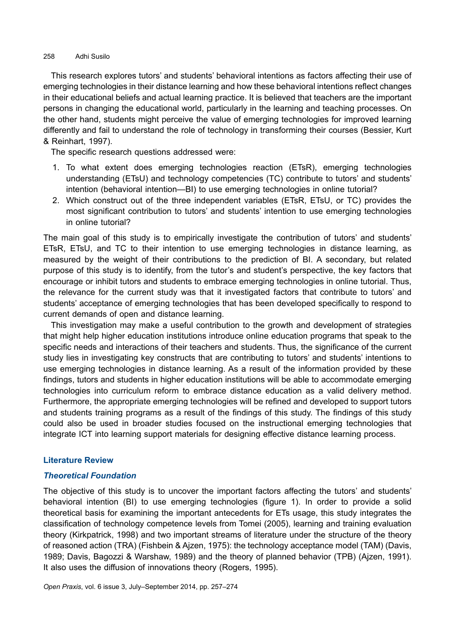This research explores tutors' and students' behavioral intentions as factors affecting their use of emerging technologies in their distance learning and how these behavioral intentions reflect changes in their educational beliefs and actual learning practice. It is believed that teachers are the important persons in changing the educational world, particularly in the learning and teaching processes. On the other hand, students might perceive the value of emerging technologies for improved learning differently and fail to understand the role of technology in transforming their courses (Bessier, Kurt & Reinhart, 1997).

The specific research questions addressed were:

- 1. To what extent does emerging technologies reaction (ETsR), emerging technologies understanding (ETsU) and technology competencies (TC) contribute to tutors' and students' intention (behavioral intention—BI) to use emerging technologies in online tutorial?
- 2. Which construct out of the three independent variables (ETsR, ETsU, or TC) provides the most significant contribution to tutors' and students' intention to use emerging technologies in online tutorial?

The main goal of this study is to empirically investigate the contribution of tutors' and students' ETsR, ETsU, and TC to their intention to use emerging technologies in distance learning, as measured by the weight of their contributions to the prediction of BI. A secondary, but related purpose of this study is to identify, from the tutor's and student's perspective, the key factors that encourage or inhibit tutors and students to embrace emerging technologies in online tutorial. Thus, the relevance for the current study was that it investigated factors that contribute to tutors' and students' acceptance of emerging technologies that has been developed specifically to respond to current demands of open and distance learning.

This investigation may make a useful contribution to the growth and development of strategies that might help higher education institutions introduce online education programs that speak to the specific needs and interactions of their teachers and students. Thus, the significance of the current study lies in investigating key constructs that are contributing to tutors' and students' intentions to use emerging technologies in distance learning. As a result of the information provided by these findings, tutors and students in higher education institutions will be able to accommodate emerging technologies into curriculum reform to embrace distance education as a valid delivery method. Furthermore, the appropriate emerging technologies will be refined and developed to support tutors and students training programs as a result of the findings of this study. The findings of this study could also be used in broader studies focused on the instructional emerging technologies that integrate ICT into learning support materials for designing effective distance learning process.

### **Literature Review**

# *Theoretical Foundation*

The objective of this study is to uncover the important factors affecting the tutors' and students' behavioral intention (BI) to use emerging technologies (figure 1). In order to provide a solid theoretical basis for examining the important antecedents for ETs usage, this study integrates the classification of technology competence levels from Tomei (2005), learning and training evaluation theory (Kirkpatrick, 1998) and two important streams of literature under the structure of the theory of reasoned action (TRA) (Fishbein & Ajzen, 1975): the technology acceptance model (TAM) (Davis, 1989; Davis, Bagozzi & Warshaw, 1989) and the theory of planned behavior (TPB) (Ajzen, 1991). It also uses the diffusion of innovations theory (Rogers, 1995).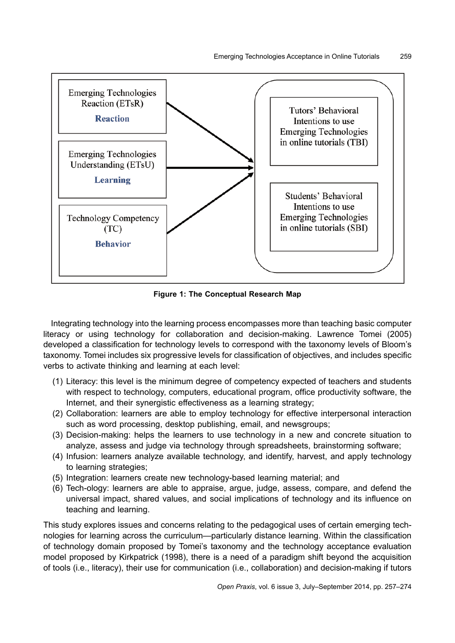

**Figure 1: The Conceptual Research Map**

Integrating technology into the learning process encompasses more than teaching basic computer literacy or using technology for collaboration and decision-making. Lawrence Tomei (2005) developed a classification for technology levels to correspond with the taxonomy levels of Bloom's taxonomy. Tomei includes six progressive levels for classification of objectives, and includes specific verbs to activate thinking and learning at each level:

- (1) Literacy: this level is the minimum degree of competency expected of teachers and students with respect to technology, computers, educational program, office productivity software, the Internet, and their synergistic effectiveness as a learning strategy;
- (2) Collaboration: learners are able to employ technology for effective interpersonal interaction such as word processing, desktop publishing, email, and newsgroups;
- (3) Decision-making: helps the learners to use technology in a new and concrete situation to analyze, assess and judge via technology through spreadsheets, brainstorming software;
- (4) Infusion: learners analyze available technology, and identify, harvest, and apply technology to learning strategies;
- (5) Integration: learners create new technology-based learning material; and
- (6) Tech-ology: learners are able to appraise, argue, judge, assess, compare, and defend the universal impact, shared values, and social implications of technology and its influence on teaching and learning.

This study explores issues and concerns relating to the pedagogical uses of certain emerging technologies for learning across the curriculum—particularly distance learning. Within the classification of technology domain proposed by Tomei's taxonomy and the technology acceptance evaluation model proposed by Kirkpatrick (1998), there is a need of a paradigm shift beyond the acquisition of tools (i.e., literacy), their use for communication (i.e., collaboration) and decision-making if tutors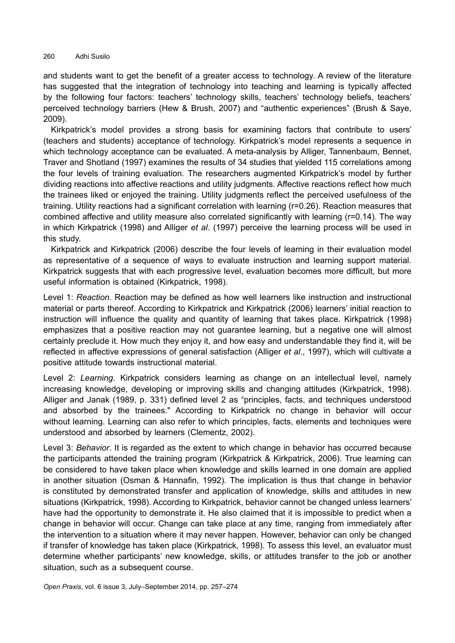and students want to get the benefit of a greater access to technology. A review of the literature has suggested that the integration of technology into teaching and learning is typically affected by the following four factors: teachers' technology skills, teachers' technology beliefs, teachers' perceived technology barriers (Hew & Brush, 2007) and "authentic experiences" (Brush & Saye, 2009).

Kirkpatrick's model provides a strong basis for examining factors that contribute to users' (teachers and students) acceptance of technology. Kirkpatrick's model represents a sequence in which technology acceptance can be evaluated. A meta-analysis by Alliger, Tannenbaum, Bennet, Traver and Shotland (1997) examines the results of 34 studies that yielded 115 correlations among the four levels of training evaluation. The researchers augmented Kirkpatrick's model by further dividing reactions into affective reactions and utility judgments. Affective reactions reflect how much the trainees liked or enjoyed the training. Utility judgments reflect the perceived usefulness of the training. Utility reactions had a significant correlation with learning (r=0.26). Reaction measures that combined affective and utility measure also correlated significantly with learning (r=0.14). The way in which Kirkpatrick (1998) and Alliger *et al*. (1997) perceive the learning process will be used in this study.

Kirkpatrick and Kirkpatrick (2006) describe the four levels of learning in their evaluation model as representative of a sequence of ways to evaluate instruction and learning support material. Kirkpatrick suggests that with each progressive level, evaluation becomes more difficult, but more useful information is obtained (Kirkpatrick, 1998).

Level 1: *Reaction*. Reaction may be defined as how well learners like instruction and instructional material or parts thereof. According to Kirkpatrick and Kirkpatrick (2006) learners' initial reaction to instruction will influence the quality and quantity of learning that takes place. Kirkpatrick (1998) emphasizes that a positive reaction may not guarantee learning, but a negative one will almost certainly preclude it. How much they enjoy it, and how easy and understandable they find it, will be reflected in affective expressions of general satisfaction (Alliger *et al*., 1997), which will cultivate a positive attitude towards instructional material.

Level 2: *Learning*. Kirkpatrick considers learning as change on an intellectual level, namely increasing knowledge, developing or improving skills and changing attitudes (Kirkpatrick, 1998). Alliger and Janak (1989, p. 331) defined level 2 as "principles, facts, and techniques understood and absorbed by the trainees." According to Kirkpatrick no change in behavior will occur without learning. Learning can also refer to which principles, facts, elements and techniques were understood and absorbed by learners (Clementz, 2002).

Level 3: *Behavior*. It is regarded as the extent to which change in behavior has occurred because the participants attended the training program (Kirkpatrick & Kirkpatrick, 2006). True learning can be considered to have taken place when knowledge and skills learned in one domain are applied in another situation (Osman & Hannafin, 1992). The implication is thus that change in behavior is constituted by demonstrated transfer and application of knowledge, skills and attitudes in new situations (Kirkpatrick, 1998). According to Kirkpatrick, behavior cannot be changed unless learners' have had the opportunity to demonstrate it. He also claimed that it is impossible to predict when a change in behavior will occur. Change can take place at any time, ranging from immediately after the intervention to a situation where it may never happen. However, behavior can only be changed if transfer of knowledge has taken place (Kirkpatrick, 1998). To assess this level, an evaluator must determine whether participants' new knowledge, skills, or attitudes transfer to the job or another situation, such as a subsequent course.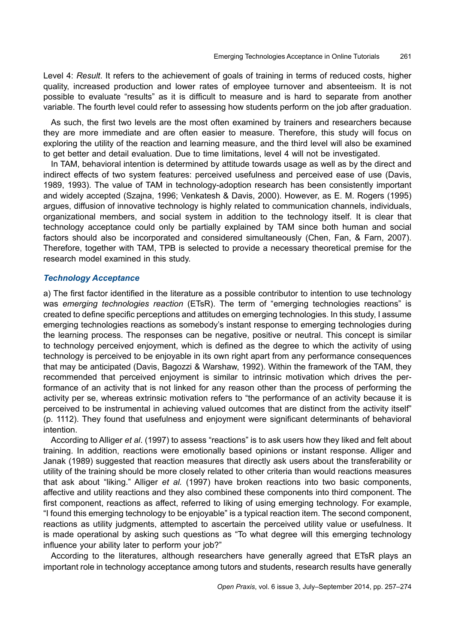Level 4: *Result*. It refers to the achievement of goals of training in terms of reduced costs, higher quality, increased production and lower rates of employee turnover and absenteeism. It is not possible to evaluate "results" as it is difficult to measure and is hard to separate from another variable. The fourth level could refer to assessing how students perform on the job after graduation.

As such, the first two levels are the most often examined by trainers and researchers because they are more immediate and are often easier to measure. Therefore, this study will focus on exploring the utility of the reaction and learning measure, and the third level will also be examined to get better and detail evaluation. Due to time limitations, level 4 will not be investigated.

In TAM, behavioral intention is determined by attitude towards usage as well as by the direct and indirect effects of two system features: perceived usefulness and perceived ease of use (Davis, 1989, 1993). The value of TAM in technology-adoption research has been consistently important and widely accepted (Szajna, 1996; Venkatesh & Davis, 2000). However, as E. M. Rogers (1995) argues, diffusion of innovative technology is highly related to communication channels, individuals, organizational members, and social system in addition to the technology itself. It is clear that technology acceptance could only be partially explained by TAM since both human and social factors should also be incorporated and considered simultaneously (Chen, Fan, & Farn, 2007). Therefore, together with TAM, TPB is selected to provide a necessary theoretical premise for the research model examined in this study.

#### *Technology Acceptance*

a) The first factor identified in the literature as a possible contributor to intention to use technology was *emerging technologies reaction* (ETsR). The term of "emerging technologies reactions" is created to define specific perceptions and attitudes on emerging technologies. In this study, I assume emerging technologies reactions as somebody's instant response to emerging technologies during the learning process. The responses can be negative, positive or neutral. This concept is similar to technology perceived enjoyment, which is defined as the degree to which the activity of using technology is perceived to be enjoyable in its own right apart from any performance consequences that may be anticipated (Davis, Bagozzi & Warshaw, 1992). Within the framework of the TAM, they recommended that perceived enjoyment is similar to intrinsic motivation which drives the performance of an activity that is not linked for any reason other than the process of performing the activity per se, whereas extrinsic motivation refers to "the performance of an activity because it is perceived to be instrumental in achieving valued outcomes that are distinct from the activity itself" (p. 1112). They found that usefulness and enjoyment were significant determinants of behavioral intention.

According to Alliger *et al*. (1997) to assess "reactions" is to ask users how they liked and felt about training. In addition, reactions were emotionally based opinions or instant response. Alliger and Janak (1989) suggested that reaction measures that directly ask users about the transferability or utility of the training should be more closely related to other criteria than would reactions measures that ask about "liking." Alliger *et al.* (1997) have broken reactions into two basic components, affective and utility reactions and they also combined these components into third component. The first component, reactions as affect, referred to liking of using emerging technology. For example, "I found this emerging technology to be enjoyable" is a typical reaction item. The second component, reactions as utility judgments, attempted to ascertain the perceived utility value or usefulness. It is made operational by asking such questions as "To what degree will this emerging technology influence your ability later to perform your job?"

According to the literatures, although researchers have generally agreed that ETsR plays an important role in technology acceptance among tutors and students, research results have generally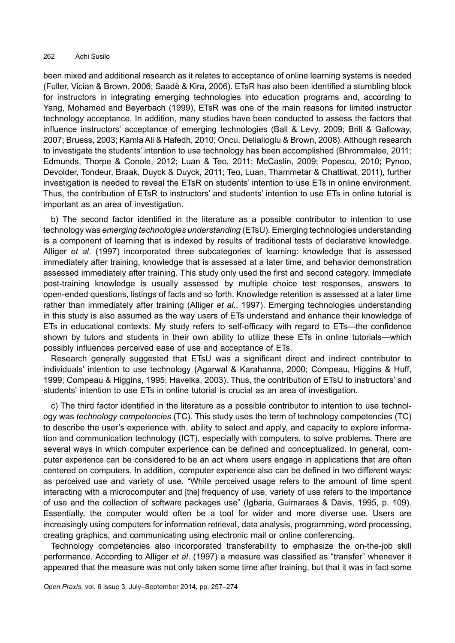been mixed and additional research as it relates to acceptance of online learning systems is needed (Fuller, Vician & Brown, 2006; Saadè & Kira, 2006). ETsR has also been identified a stumbling block for instructors in integrating emerging technologies into education programs and, according to Yang, Mohamed and Beyerbach (1999), ETsR was one of the main reasons for limited instructor technology acceptance. In addition, many studies have been conducted to assess the factors that influence instructors' acceptance of emerging technologies (Ball & Levy, 2009; Brill & Galloway, 2007; Bruess, 2003; Kamla Ali & Hafedh, 2010; Oncu, Delialioglu & Brown, 2008). Although research to investigate the students' intention to use technology has been accomplished (Bhrommalee, 2011; Edmunds, Thorpe & Conole, 2012; Luan & Teo, 2011; McCaslin, 2009; Popescu, 2010; Pynoo, Devolder, Tondeur, Braak, Duyck & Duyck, 2011; Teo, Luan, Thammetar & Chattiwat, 2011), further investigation is needed to reveal the ETsR on students' intention to use ETs in online environment. Thus, the contribution of ETsR to instructors' and students' intention to use ETs in online tutorial is important as an area of investigation.

b) The second factor identified in the literature as a possible contributor to intention to use technology was *emerging technologies understanding* (ETsU). Emerging technologies understanding is a component of learning that is indexed by results of traditional tests of declarative knowledge. Alliger *et al*. (1997) incorporated three subcategories of learning: knowledge that is assessed immediately after training, knowledge that is assessed at a later time, and behavior demonstration assessed immediately after training. This study only used the first and second category. Immediate post-training knowledge is usually assessed by multiple choice test responses, answers to open-ended questions, listings of facts and so forth. Knowledge retention is assessed at a later time rather than immediately after training (Alliger *et al*., 1997). Emerging technologies understanding in this study is also assumed as the way users of ETs understand and enhance their knowledge of ETs in educational contexts. My study refers to self-efficacy with regard to ETs—the confidence shown by tutors and students in their own ability to utilize these ETs in online tutorials—which possibly influences perceived ease of use and acceptance of ETs.

Research generally suggested that ETsU was a significant direct and indirect contributor to individuals' intention to use technology (Agarwal & Karahanna, 2000; Compeau, Higgins & Huff, 1999; Compeau & Higgins, 1995; Havelka, 2003). Thus, the contribution of ETsU to instructors' and students' intention to use ETs in online tutorial is crucial as an area of investigation.

c) The third factor identified in the literature as a possible contributor to intention to use technology was *technology competencies* (TC). This study uses the term of technology competencies (TC) to describe the user's experience with, ability to select and apply, and capacity to explore information and communication technology (ICT), especially with computers, to solve problems. There are several ways in which computer experience can be defined and conceptualized. In general, computer experience can be considered to be an act where users engage in applications that are often centered on computers. In addition, computer experience also can be defined in two different ways: as perceived use and variety of use. "While perceived usage refers to the amount of time spent interacting with a microcomputer and [the] frequency of use, variety of use refers to the importance of use and the collection of software packages use" (Igbaria, Guimaraes & Davis, 1995, p. 109). Essentially, the computer would often be a tool for wider and more diverse use. Users are increasingly using computers for information retrieval, data analysis, programming, word processing, creating graphics, and communicating using electronic mail or online conferencing.

Technology competencies also incorporated transferability to emphasize the on-the-job skill performance. According to Alliger *et al*. (1997) a measure was classified as "transfer" whenever it appeared that the measure was not only taken some time after training, but that it was in fact some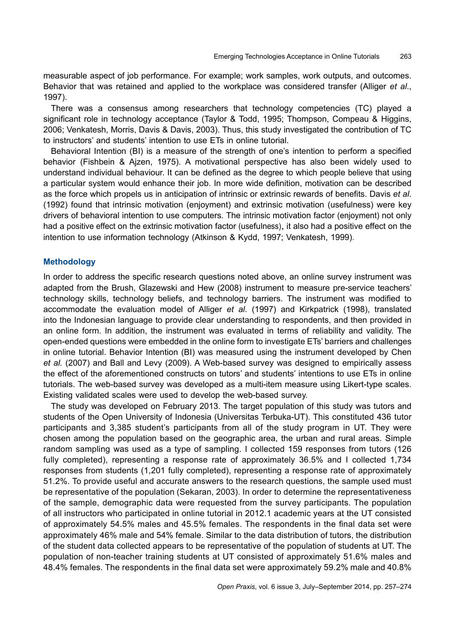measurable aspect of job performance. For example; work samples, work outputs, and outcomes. Behavior that was retained and applied to the workplace was considered transfer (Alliger *et al*., 1997).

There was a consensus among researchers that technology competencies (TC) played a significant role in technology acceptance (Taylor & Todd, 1995; Thompson, Compeau & Higgins, 2006; Venkatesh, Morris, Davis & Davis, 2003). Thus, this study investigated the contribution of TC to instructors' and students' intention to use ETs in online tutorial.

Behavioral Intention (BI) is a measure of the strength of one's intention to perform a specified behavior (Fishbein & Ajzen, 1975). A motivational perspective has also been widely used to understand individual behaviour. It can be defined as the degree to which people believe that using a particular system would enhance their job. In more wide definition, motivation can be described as the force which propels us in anticipation of intrinsic or extrinsic rewards of benefits. Davis *et al*. (1992) found that intrinsic motivation (enjoyment) and extrinsic motivation (usefulness) were key drivers of behavioral intention to use computers. The intrinsic motivation factor (enjoyment) not only had a positive effect on the extrinsic motivation factor (usefulness), it also had a positive effect on the intention to use information technology (Atkinson & Kydd, 1997; Venkatesh, 1999).

#### **Methodology**

In order to address the specific research questions noted above, an online survey instrument was adapted from the Brush, Glazewski and Hew (2008) instrument to measure pre-service teachers' technology skills, technology beliefs, and technology barriers. The instrument was modified to accommodate the evaluation model of Alliger *et al*. (1997) and Kirkpatrick (1998), translated into the Indonesian language to provide clear understanding to respondents, and then provided in an online form. In addition, the instrument was evaluated in terms of reliability and validity. The open-ended questions were embedded in the online form to investigate ETs' barriers and challenges in online tutorial. Behavior Intention (BI) was measured using the instrument developed by Chen *et al.* (2007) and Ball and Levy (2009). A Web-based survey was designed to empirically assess the effect of the aforementioned constructs on tutors' and students' intentions to use ETs in online tutorials. The web-based survey was developed as a multi-item measure using Likert-type scales. Existing validated scales were used to develop the web-based survey.

The study was developed on February 2013. The target population of this study was tutors and students of the Open University of Indonesia (Universitas Terbuka-UT). This constituted 436 tutor participants and 3,385 student's participants from all of the study program in UT. They were chosen among the population based on the geographic area, the urban and rural areas. Simple random sampling was used as a type of sampling. I collected 159 responses from tutors (126 fully completed), representing a response rate of approximately 36.5% and I collected 1,734 responses from students (1,201 fully completed), representing a response rate of approximately 51.2%. To provide useful and accurate answers to the research questions, the sample used must be representative of the population (Sekaran, 2003). In order to determine the representativeness of the sample, demographic data were requested from the survey participants. The population of all instructors who participated in online tutorial in 2012.1 academic years at the UT consisted of approximately 54.5% males and 45.5% females. The respondents in the final data set were approximately 46% male and 54% female. Similar to the data distribution of tutors, the distribution of the student data collected appears to be representative of the population of students at UT. The population of non-teacher training students at UT consisted of approximately 51.6% males and 48.4% females. The respondents in the final data set were approximately 59.2% male and 40.8%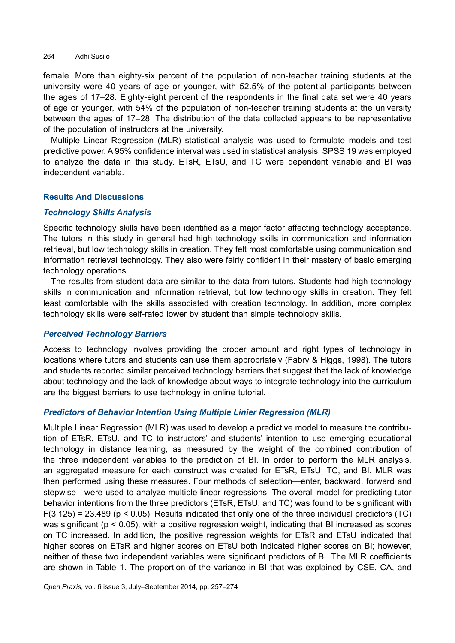female. More than eighty-six percent of the population of non-teacher training students at the university were 40 years of age or younger, with 52.5% of the potential participants between the ages of 17–28. Eighty-eight percent of the respondents in the final data set were 40 years of age or younger, with 54% of the population of non-teacher training students at the university between the ages of 17–28. The distribution of the data collected appears to be representative of the population of instructors at the university.

Multiple Linear Regression (MLR) statistical analysis was used to formulate models and test predictive power. A 95% confidence interval was used in statistical analysis. SPSS 19 was employed to analyze the data in this study. ETsR, ETsU, and TC were dependent variable and BI was independent variable.

# **Results And Discussions**

### *Technology Skills Analysis*

Specific technology skills have been identified as a major factor affecting technology acceptance. The tutors in this study in general had high technology skills in communication and information retrieval, but low technology skills in creation. They felt most comfortable using communication and information retrieval technology. They also were fairly confident in their mastery of basic emerging technology operations.

The results from student data are similar to the data from tutors. Students had high technology skills in communication and information retrieval, but low technology skills in creation. They felt least comfortable with the skills associated with creation technology. In addition, more complex technology skills were self-rated lower by student than simple technology skills.

### *Perceived Technology Barriers*

Access to technology involves providing the proper amount and right types of technology in locations where tutors and students can use them appropriately (Fabry & Higgs, 1998). The tutors and students reported similar perceived technology barriers that suggest that the lack of knowledge about technology and the lack of knowledge about ways to integrate technology into the curriculum are the biggest barriers to use technology in online tutorial.

# *Predictors of Behavior Intention Using Multiple Linier Regression (MLR)*

Multiple Linear Regression (MLR) was used to develop a predictive model to measure the contribution of ETsR, ETsU, and TC to instructors' and students' intention to use emerging educational technology in distance learning, as measured by the weight of the combined contribution of the three independent variables to the prediction of BI. In order to perform the MLR analysis, an aggregated measure for each construct was created for ETsR, ETsU, TC, and BI. MLR was then performed using these measures. Four methods of selection—enter, backward, forward and stepwise—were used to analyze multiple linear regressions. The overall model for predicting tutor behavior intentions from the three predictors (ETsR, ETsU, and TC) was found to be significant with  $F(3,125) = 23.489$  (p < 0.05). Results indicated that only one of the three individual predictors (TC) was significant ( $p < 0.05$ ), with a positive regression weight, indicating that BI increased as scores on TC increased. In addition, the positive regression weights for ETsR and ETsU indicated that higher scores on ETsR and higher scores on ETsU both indicated higher scores on BI; however, neither of these two independent variables were significant predictors of BI. The MLR coefficients are shown in Table 1. The proportion of the variance in BI that was explained by CSE, CA, and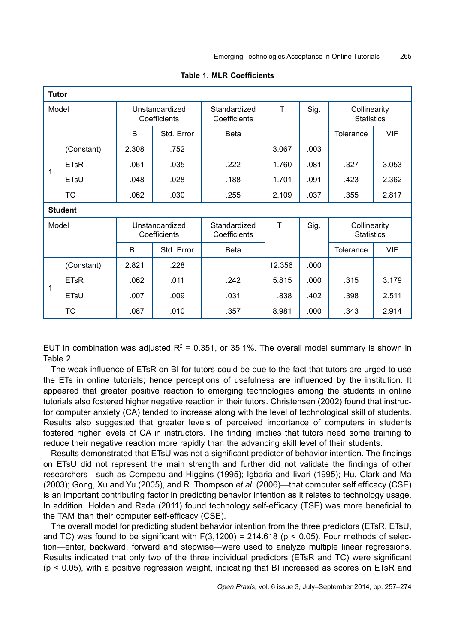| <b>Tutor</b> |                   |                                |            |                              |           |      |                                   |            |
|--------------|-------------------|--------------------------------|------------|------------------------------|-----------|------|-----------------------------------|------------|
| Model        |                   | Unstandardized<br>Coefficients |            | Standardized<br>Coefficients | T<br>Sig. |      | Collinearity<br><b>Statistics</b> |            |
|              |                   | B                              | Std. Error | <b>Beta</b>                  |           |      | <b>Tolerance</b>                  | <b>VIF</b> |
|              | (Constant)        | 2.308                          | .752       |                              | 3.067     | .003 |                                   |            |
|              | <b>ETsR</b>       | .061                           | .035       | .222                         | 1.760     | .081 | .327                              | 3.053      |
|              | ETsU              | .048                           | .028       | .188                         | 1.701     | .091 | .423                              | 2.362      |
|              | <b>TC</b>         | .062                           | .030       | .255                         | 2.109     | .037 | .355                              | 2.817      |
|              | <b>Student</b>    |                                |            |                              |           |      |                                   |            |
| Model        |                   | Unstandardized<br>Coefficients |            | Standardized<br>Coefficients | T         | Sig. | Collinearity<br><b>Statistics</b> |            |
|              |                   | B                              | Std. Error | <b>Beta</b>                  |           |      | Tolerance                         | <b>VIF</b> |
|              | (Constant)        | 2.821                          | .228       |                              | 12.356    | .000 |                                   |            |
|              | <b>ETsR</b>       | .062                           | .011       | .242                         | 5.815     | .000 | .315                              | 3.179      |
| 1            | ET <sub>s</sub> U | .007                           | .009       | .031                         | .838      | .402 | .398                              | 2.511      |
|              | <b>TC</b>         | .087                           | .010       | .357                         | 8.981     | .000 | .343                              | 2.914      |

|  |  |  | <b>Table 1. MLR Coefficients</b> |
|--|--|--|----------------------------------|
|--|--|--|----------------------------------|

EUT in combination was adjusted  $R^2 = 0.351$ , or 35.1%. The overall model summary is shown in Table 2.

The weak influence of ETsR on BI for tutors could be due to the fact that tutors are urged to use the ETs in online tutorials; hence perceptions of usefulness are influenced by the institution. It appeared that greater positive reaction to emerging technologies among the students in online tutorials also fostered higher negative reaction in their tutors. Christensen (2002) found that instructor computer anxiety (CA) tended to increase along with the level of technological skill of students. Results also suggested that greater levels of perceived importance of computers in students fostered higher levels of CA in instructors. The finding implies that tutors need some training to reduce their negative reaction more rapidly than the advancing skill level of their students.

Results demonstrated that ETsU was not a significant predictor of behavior intention. The findings on ETsU did not represent the main strength and further did not validate the findings of other researchers—such as Compeau and Higgins (1995); Igbaria and Iivari (1995); Hu, Clark and Ma (2003); Gong, Xu and Yu (2005), and R. Thompson *et al*. (2006)—that computer self efficacy (CSE) is an important contributing factor in predicting behavior intention as it relates to technology usage. In addition, Holden and Rada (2011) found technology self-efficacy (TSE) was more beneficial to the TAM than their computer self-efficacy (CSE).

The overall model for predicting student behavior intention from the three predictors (ETsR, ETsU, and TC) was found to be significant with  $F(3,1200) = 214.618$  (p < 0.05). Four methods of selection—enter, backward, forward and stepwise—were used to analyze multiple linear regressions. Results indicated that only two of the three individual predictors (ETsR and TC) were significant  $(p < 0.05)$ , with a positive regression weight, indicating that BI increased as scores on ETsR and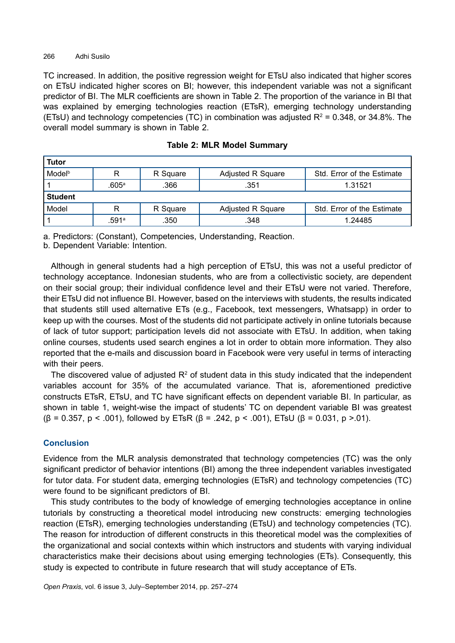TC increased. In addition, the positive regression weight for ETsU also indicated that higher scores on ETsU indicated higher scores on BI; however, this independent variable was not a significant predictor of BI. The MLR coefficients are shown in Table 2. The proportion of the variance in BI that was explained by emerging technologies reaction (ETsR), emerging technology understanding (ETsU) and technology competencies (TC) in combination was adjusted  $R^2$  = 0.348, or 34.8%. The overall model summary is shown in Table 2.

| Tutor              |       |          |                          |                            |  |  |
|--------------------|-------|----------|--------------------------|----------------------------|--|--|
| Model <sup>b</sup> | R     | R Square | <b>Adjusted R Square</b> | Std. Error of the Estimate |  |  |
|                    | .605ª | .366     | .351                     | 1.31521                    |  |  |
| <b>Student</b>     |       |          |                          |                            |  |  |
| Model              | R     | R Square | Adjusted R Square        | Std. Error of the Estimate |  |  |
|                    | .591ª | .350     | .348                     | 1.24485                    |  |  |

|  |  |  |  | <b>Table 2: MLR Model Summary</b> |
|--|--|--|--|-----------------------------------|
|--|--|--|--|-----------------------------------|

a. Predictors: (Constant), Competencies, Understanding, Reaction.

b. Dependent Variable: Intention.

Although in general students had a high perception of ETsU, this was not a useful predictor of technology acceptance. Indonesian students, who are from a collectivistic society, are dependent on their social group; their individual confidence level and their ETsU were not varied. Therefore, their ETsU did not influence BI. However, based on the interviews with students, the results indicated that students still used alternative ETs (e.g., Facebook, text messengers, Whatsapp) in order to keep up with the courses. Most of the students did not participate actively in online tutorials because of lack of tutor support; participation levels did not associate with ETsU. In addition, when taking online courses, students used search engines a lot in order to obtain more information. They also reported that the e-mails and discussion board in Facebook were very useful in terms of interacting with their peers.

The discovered value of adjusted  $R<sup>2</sup>$  of student data in this study indicated that the independent variables account for 35% of the accumulated variance. That is, aforementioned predictive constructs ETsR, ETsU, and TC have significant effects on dependent variable BI. In particular, as shown in table 1, weight-wise the impact of students' TC on dependent variable BI was greatest ( $\beta$  = 0.357, p < .001), followed by ETsR ( $\beta$  = .242, p < .001), ETsU ( $\beta$  = 0.031, p > .01).

# **Conclusion**

Evidence from the MLR analysis demonstrated that technology competencies (TC) was the only significant predictor of behavior intentions (BI) among the three independent variables investigated for tutor data. For student data, emerging technologies (ETsR) and technology competencies (TC) were found to be significant predictors of BI.

This study contributes to the body of knowledge of emerging technologies acceptance in online tutorials by constructing a theoretical model introducing new constructs: emerging technologies reaction (ETsR), emerging technologies understanding (ETsU) and technology competencies (TC). The reason for introduction of different constructs in this theoretical model was the complexities of the organizational and social contexts within which instructors and students with varying individual characteristics make their decisions about using emerging technologies (ETs). Consequently, this study is expected to contribute in future research that will study acceptance of ETs.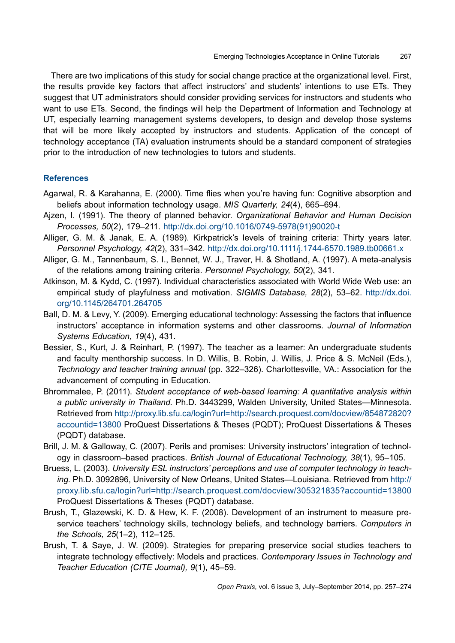There are two implications of this study for social change practice at the organizational level. First, the results provide key factors that affect instructors' and students' intentions to use ETs. They suggest that UT administrators should consider providing services for instructors and students who want to use ETs. Second, the findings will help the Department of Information and Technology at UT, especially learning management systems developers, to design and develop those systems that will be more likely accepted by instructors and students. Application of the concept of technology acceptance (TA) evaluation instruments should be a standard component of strategies prior to the introduction of new technologies to tutors and students.

#### **References**

- Agarwal, R. & Karahanna, E. (2000). Time flies when you're having fun: Cognitive absorption and beliefs about information technology usage. *MIS Quarterly, 24*(4), 665–694.
- Ajzen, I. (1991). The theory of planned behavior. *Organizational Behavior and Human Decision Processes, 50*(2), 179–211. [http://dx.doi.org/10.1016/0749-5978\(91\)90020-t](http://dx.doi.org/10.1016/0749-5978(91)90020-t)
- Alliger, G. M. & Janak, E. A. (1989). Kirkpatrick's levels of training criteria: Thirty years later. *Personnel Psychology, 42*(2), 331–342. <http://dx.doi.org/10.1111/j.1744-6570.1989.tb00661.x>
- Alliger, G. M., Tannenbaum, S. I., Bennet, W. J., Traver, H. & Shotland, A. (1997). A meta-analysis of the relations among training criteria. *Personnel Psychology, 50*(2), 341.
- Atkinson, M. & Kydd, C. (1997). Individual characteristics associated with World Wide Web use: an empirical study of playfulness and motivation. *SIGMIS Database, 28*(2), 53–62. [http://dx.doi.](http://dx.doi.org/10.1145/264701.264705) [org/10.1145/264701.264705](http://dx.doi.org/10.1145/264701.264705)
- Ball, D. M. & Levy, Y. (2009). Emerging educational technology: Assessing the factors that influence instructors' acceptance in information systems and other classrooms. *Journal of Information Systems Education, 19*(4), 431.
- Bessier, S., Kurt, J. & Reinhart, P. (1997). The teacher as a learner: An undergraduate students and faculty menthorship success. In D. Willis, B. Robin, J. Willis, J. Price & S. McNeil (Eds.), *Technology and teacher training annual* (pp. 322–326). Charlottesville, VA.: Association for the advancement of computing in Education.
- Bhrommalee, P. (2011). *Student acceptance of web-based learning: A quantitative analysis within a public university in Thailand.* Ph.D. 3443299, Walden University, United States—Minnesota. Retrieved from [http://proxy.lib.sfu.ca/login?url=http://search.proquest.com/docview/854872820?](http://proxy.lib.sfu.ca/login?url=http://search.proquest.com/docview/854872820?accountid=13800) [accountid=13800](http://proxy.lib.sfu.ca/login?url=http://search.proquest.com/docview/854872820?accountid=13800) ProQuest Dissertations & Theses (PQDT); ProQuest Dissertations & Theses (PQDT) database.
- Brill, J. M. & Galloway, C. (2007). Perils and promises: University instructors' integration of technology in classroom–based practices. *British Journal of Educational Technology, 38*(1), 95–105.
- Bruess, L. (2003). *University ESL instructors' perceptions and use of computer technology in teaching.* Ph.D. 3092896, University of New Orleans, United States—Louisiana. Retrieved from [http://](http://proxy.lib.sfu.ca/login?url=http://search.proquest.com/docview/305321835?accountid=13800) [proxy.lib.sfu.ca/login?url=http://search.proquest.com/docview/305321835?accountid=13800](http://proxy.lib.sfu.ca/login?url=http://search.proquest.com/docview/305321835?accountid=13800) ProQuest Dissertations & Theses (PQDT) database.
- Brush, T., Glazewski, K. D. & Hew, K. F. (2008). Development of an instrument to measure preservice teachers' technology skills, technology beliefs, and technology barriers. *Computers in the Schools, 25*(1–2), 112–125.
- Brush, T. & Saye, J. W. (2009). Strategies for preparing preservice social studies teachers to integrate technology effectively: Models and practices. *Contemporary Issues in Technology and Teacher Education (CITE Journal), 9*(1), 45–59.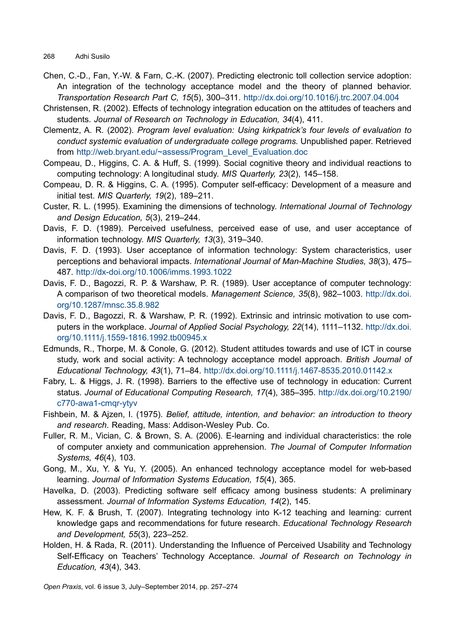- Chen, C.-D., Fan, Y.-W. & Farn, C.-K. (2007). Predicting electronic toll collection service adoption: An integration of the technology acceptance model and the theory of planned behavior. *Transportation Research Part C, 15*(5), 300–311. <http://dx.doi.org/10.1016/j.trc.2007.04.004>
- Christensen, R. (2002). Effects of technology integration education on the attitudes of teachers and students. *Journal of Research on Technology in Education, 34*(4), 411.
- Clementz, A. R. (2002). *Program level evaluation: Using kirkpatrick's four levels of evaluation to conduct systemic evaluation of undergraduate college programs.* Unpublished paper. Retrieved from [http://web.bryant.edu/~assess/Program\\_Level\\_Evaluation.doc](http://web.bryant.edu/~assess/Program_Level_Evaluation.doc)
- Compeau, D., Higgins, C. A. & Huff, S. (1999). Social cognitive theory and individual reactions to computing technology: A longitudinal study. *MIS Quarterly, 23*(2), 145–158.
- Compeau, D. R. & Higgins, C. A. (1995). Computer self-efficacy: Development of a measure and initial test. *MIS Quarterly, 19*(2), 189–211.
- Custer, R. L. (1995). Examining the dimensions of technology. *International Journal of Technology and Design Education, 5*(3), 219–244.
- Davis, F. D. (1989). Perceived usefulness, perceived ease of use, and user acceptance of information technology. *MIS Quarterly, 13*(3), 319–340.
- Davis, F. D. (1993). User acceptance of information technology: System characteristics, user perceptions and behavioral impacts. *International Journal of Man-Machine Studies, 38*(3), 475– 487. <http://dx-doi.org/10.1006/imms.1993.1022>
- Davis, F. D., Bagozzi, R. P. & Warshaw, P. R. (1989). User acceptance of computer technology: A comparison of two theoretical models. *Management Science, 35*(8), 982–1003. [http://dx.doi.](http://dx.doi.org/10.1287/mnsc.35.8.982) [org/10.1287/mnsc.35.8.982](http://dx.doi.org/10.1287/mnsc.35.8.982)
- Davis, F. D., Bagozzi, R. & Warshaw, P. R. (1992). Extrinsic and intrinsic motivation to use computers in the workplace. *Journal of Applied Social Psychology, 22*(14), 1111–1132. http://dx.doi. org/10.1111/j.1559-1816.1992.tb00945.x
- Edmunds, R., Thorpe, M. & Conole, G. (2012). Student attitudes towards and use of ICT in course study, work and social activity: A technology acceptance model approach. *British Journal of Educational Technology, 43*(1), 71–84. <http://dx.doi.org/10.1111/j.1467-8535.2010.01142.x>
- Fabry, L. & Higgs, J. R. (1998). Barriers to the effective use of technology in education: Current status. *Journal of Educational Computing Research, 17*(4), 385–395. [http://dx.doi.org/10.2190/](http://dx.doi.org/10.2190/c770-awa1-cmqr-ytyv) [c770-awa1-cmqr-ytyv](http://dx.doi.org/10.2190/c770-awa1-cmqr-ytyv)
- Fishbein, M. & Ajzen, I. (1975). *Belief, attitude, intention, and behavior: an introduction to theory and research*. Reading, Mass: Addison-Wesley Pub. Co.
- Fuller, R. M., Vician, C. & Brown, S. A. (2006). E-learning and individual characteristics: the role of computer anxiety and communication apprehension. *The Journal of Computer Information Systems, 46*(4), 103.
- Gong, M., Xu, Y. & Yu, Y. (2005). An enhanced technology acceptance model for web-based learning. *Journal of Information Systems Education, 15*(4), 365.
- Havelka, D. (2003). Predicting software self efficacy among business students: A preliminary assessment. *Journal of Information Systems Education, 14*(2), 145.
- Hew, K. F. & Brush, T. (2007). Integrating technology into K-12 teaching and learning: current knowledge gaps and recommendations for future research. *Educational Technology Research and Development, 55*(3), 223–252.
- Holden, H. & Rada, R. (2011). Understanding the Influence of Perceived Usability and Technology Self-Efficacy on Teachers' Technology Acceptance. *Journal of Research on Technology in Education, 43*(4), 343.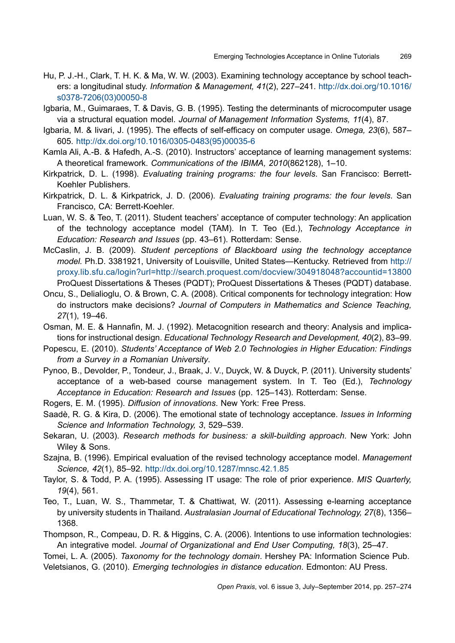- Hu, P. J.-H., Clark, T. H. K. & Ma, W. W. (2003). Examining technology acceptance by school teachers: a longitudinal study. *Information & Management, 41*(2), 227–241. [http://dx.doi.org/10.1016/](http://dx.doi.org/10.1016/s0378-7206(03)00050-8) [s0378-7206\(03\)00050-8](http://dx.doi.org/10.1016/s0378-7206(03)00050-8)
- Igbaria, M., Guimaraes, T. & Davis, G. B. (1995). Testing the determinants of microcomputer usage via a structural equation model. *Journal of Management Information Systems, 11*(4), 87.
- Igbaria, M. & Iivari, J. (1995). The effects of self-efficacy on computer usage. *Omega, 23*(6), 587– 605. [http://dx.doi.org/10.1016/0305-0483\(95\)00035-6](http://dx.doi.org/10.1016/0305-0483(95)00035-6)
- Kamla Ali, A.-B. & Hafedh, A.-S. (2010). Instructors' acceptance of learning management systems: A theoretical framework. *Communications of the IBIMA, 2010*(862128), 1–10.
- Kirkpatrick, D. L. (1998). *Evaluating training programs: the four levels*. San Francisco: Berrett-Koehler Publishers.
- Kirkpatrick, D. L. & Kirkpatrick, J. D. (2006). *Evaluating training programs: the four levels*. San Francisco, CA: Berrett-Koehler.
- Luan, W. S. & Teo, T. (2011). Student teachers' acceptance of computer technology: An application of the technology acceptance model (TAM). In T. Teo (Ed.), *Technology Acceptance in Education: Research and Issues* (pp. 43–61). Rotterdam: Sense.
- McCaslin, J. B. (2009). *Student perceptions of Blackboard using the technology acceptance model.* Ph.D. 3381921, University of Louisville, United States—Kentucky. Retrieved from [http://](http://proxy.lib.sfu.ca/login?url=http://search.proquest.com/docview/304918048?accountid=13800) [proxy.lib.sfu.ca/login?url=http://search.proquest.com/docview/304918048?accountid=13800](http://proxy.lib.sfu.ca/login?url=http://search.proquest.com/docview/304918048?accountid=13800) ProQuest Dissertations & Theses (PQDT); ProQuest Dissertations & Theses (PQDT) database.
- Oncu, S., Delialioglu, O. & Brown, C. A. (2008). Critical components for technology integration: How do instructors make decisions? *Journal of Computers in Mathematics and Science Teaching, 27*(1), 19–46.
- Osman, M. E. & Hannafin, M. J. (1992). Metacognition research and theory: Analysis and implications for instructional design. *Educational Technology Research and Development, 40*(2), 83–99.
- Popescu, E. (2010). *Students' Acceptance of Web 2.0 Technologies in Higher Education: Findings from a Survey in a Romanian University*.
- Pynoo, B., Devolder, P., Tondeur, J., Braak, J. V., Duyck, W. & Duyck, P. (2011). University students' acceptance of a web-based course management system. In T. Teo (Ed.), *Technology Acceptance in Education: Research and Issues* (pp. 125–143). Rotterdam: Sense.
- Rogers, E. M. (1995). *Diffusion of innovations*. New York: Free Press.
- Saadè, R. G. & Kira, D. (2006). The emotional state of technology acceptance. *Issues in Informing Science and Information Technology, 3*, 529–539.
- Sekaran, U. (2003). *Research methods for business: a skill-building approach*. New York: John Wiley & Sons.
- Szajna, B. (1996). Empirical evaluation of the revised technology acceptance model. *Management Science, 42*(1), 85–92. <http://dx.doi.org/10.1287/mnsc.42.1.85>
- Taylor, S. & Todd, P. A. (1995). Assessing IT usage: The role of prior experience. *MIS Quarterly, 19*(4), 561.
- Teo, T., Luan, W. S., Thammetar, T. & Chattiwat, W. (2011). Assessing e-learning acceptance by university students in Thailand. *Australasian Journal of Educational Technology, 27*(8), 1356– 1368.
- Thompson, R., Compeau, D. R. & Higgins, C. A. (2006). Intentions to use information technologies: An integrative model. *Journal of Organizational and End User Computing, 18*(3), 25–47.
- Tomei, L. A. (2005). *Taxonomy for the technology domain*. Hershey PA: Information Science Pub. Veletsianos, G. (2010). *Emerging technologies in distance education*. Edmonton: AU Press.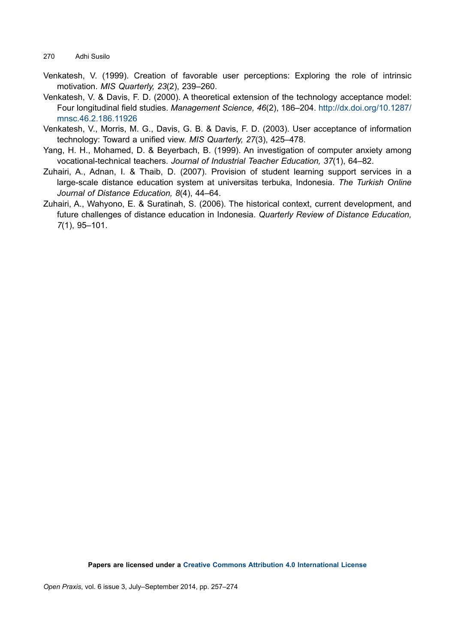- Venkatesh, V. (1999). Creation of favorable user perceptions: Exploring the role of intrinsic motivation. *MIS Quarterly, 23*(2), 239–260.
- Venkatesh, V. & Davis, F. D. (2000). A theoretical extension of the technology acceptance model: Four longitudinal field studies. *Management Science, 46*(2), 186–204. [http://dx.doi.org/10.1287/](http://dx.doi.org/10.1287/mnsc.46.2.186.11926) [mnsc.46.2.186.11926](http://dx.doi.org/10.1287/mnsc.46.2.186.11926)
- Venkatesh, V., Morris, M. G., Davis, G. B. & Davis, F. D. (2003). User acceptance of information technology: Toward a unified view. *MIS Quarterly, 27*(3), 425–478.
- Yang, H. H., Mohamed, D. & Beyerbach, B. (1999). An investigation of computer anxiety among vocational-technical teachers. *Journal of Industrial Teacher Education, 37*(1), 64–82.
- Zuhairi, A., Adnan, I. & Thaib, D. (2007). Provision of student learning support services in a large-scale distance education system at universitas terbuka, Indonesia. *The Turkish Online Journal of Distance Education, 8*(4), 44–64.
- Zuhairi, A., Wahyono, E. & Suratinah, S. (2006). The historical context, current development, and future challenges of distance education in Indonesia. *Quarterly Review of Distance Education, 7*(1), 95–101.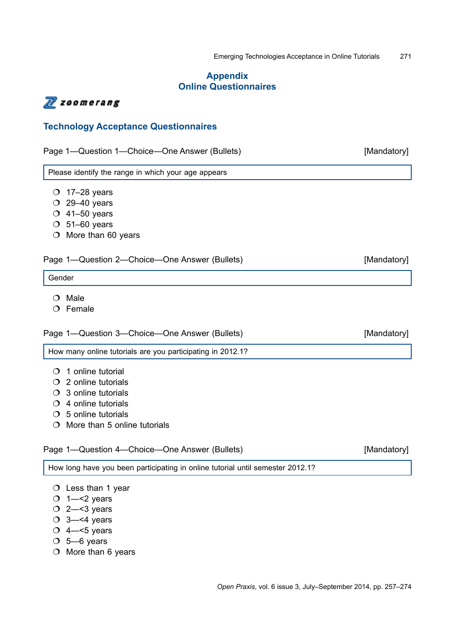# **Appendix Online Questionnaires**

# N zoomerang

# **Technology Acceptance Questionnaires**

| Page 1—Question 1—Choice—One Answer (Bullets) |  |
|-----------------------------------------------|--|
|-----------------------------------------------|--|

Please identify the range in which your age appears

- $O$  17–28 years
- $O$  29–40 years
- $O$  41–50 years
- $O$  51–60 years
- $\circ$  More than 60 years

# Page 1—Question 2—Choice—One Answer (Bullets) [Mandatory]

Gender

- $O$  Male
- $O$  Female

Page 1—Question 3—Choice—One Answer (Bullets) [Mandatory]

How many online tutorials are you participating in 2012.1?

- $O$  1 online tutorial
- 2 online tutorials
- 3 online tutorials
- $O$  4 online tutorials
- $\circ$  5 online tutorials
- $\bigcirc$  More than 5 online tutorials

# Page 1—Question 4—Choice—One Answer (Bullets) [Mandatory]

How long have you been participating in online tutorial until semester 2012.1?

- $O$  Less than 1 year
- $O$  1- $<$ 2 years
- $O$  2- $<$ 3 years
- $\circ$  3- $\leq$ 4 years
- $\circ$  4- $\leq$ 5 years
- $O$  5-6 years
- $O$  More than 6 years

[Mandatory]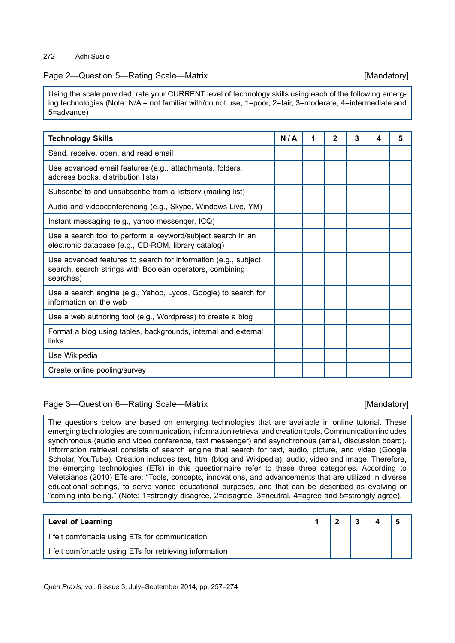# Page 2—Question 5—Rating Scale—Matrix **Example 2** (Mandatory)

Using the scale provided, rate your CURRENT level of technology skills using each of the following emerging technologies (Note: N/A = not familiar with/do not use, 1=poor, 2=fair, 3=moderate, 4=intermediate and 5=advance)

| <b>Technology Skills</b>                                                                                                                | N/A | 2 | 3 | 4 | 5 |
|-----------------------------------------------------------------------------------------------------------------------------------------|-----|---|---|---|---|
| Send, receive, open, and read email                                                                                                     |     |   |   |   |   |
| Use advanced email features (e.g., attachments, folders,<br>address books, distribution lists)                                          |     |   |   |   |   |
| Subscribe to and unsubscribe from a listserv (mailing list)                                                                             |     |   |   |   |   |
| Audio and videoconferencing (e.g., Skype, Windows Live, YM)                                                                             |     |   |   |   |   |
| Instant messaging (e.g., yahoo messenger, ICQ)                                                                                          |     |   |   |   |   |
| Use a search tool to perform a keyword/subject search in an<br>electronic database (e.g., CD-ROM, library catalog)                      |     |   |   |   |   |
| Use advanced features to search for information (e.g., subject<br>search, search strings with Boolean operators, combining<br>searches) |     |   |   |   |   |
| Use a search engine (e.g., Yahoo, Lycos, Google) to search for<br>information on the web                                                |     |   |   |   |   |
| Use a web authoring tool (e.g., Wordpress) to create a blog                                                                             |     |   |   |   |   |
| Format a blog using tables, backgrounds, internal and external<br>links.                                                                |     |   |   |   |   |
| Use Wikipedia                                                                                                                           |     |   |   |   |   |
| Create online pooling/survey                                                                                                            |     |   |   |   |   |

# Page 3—Question 6—Rating Scale—Matrix **Example 2** [Mandatory]

The questions below are based on emerging technologies that are available in online tutorial. These emerging technologies are communication, information retrieval and creation tools. Communication includes synchronous (audio and video conference, text messenger) and asynchronous (email, discussion board). Information retrieval consists of search engine that search for text, audio, picture, and video (Google Scholar, YouTube). Creation includes text, html (blog and Wikipedia), audio, video and image. Therefore, the emerging technologies (ETs) in this questionnaire refer to these three categories. According to Veletsianos (2010) ETs are: "Tools, concepts, innovations, and advancements that are utilized in diverse educational settings, to serve varied educational purposes, and that can be described as evolving or "coming into being." (Note: 1=strongly disagree, 2=disagree, 3=neutral, 4=agree and 5=strongly agree).

| <b>Level of Learning</b>                                |  |  |  |
|---------------------------------------------------------|--|--|--|
| I felt comfortable using ETs for communication          |  |  |  |
| I felt comfortable using ETs for retrieving information |  |  |  |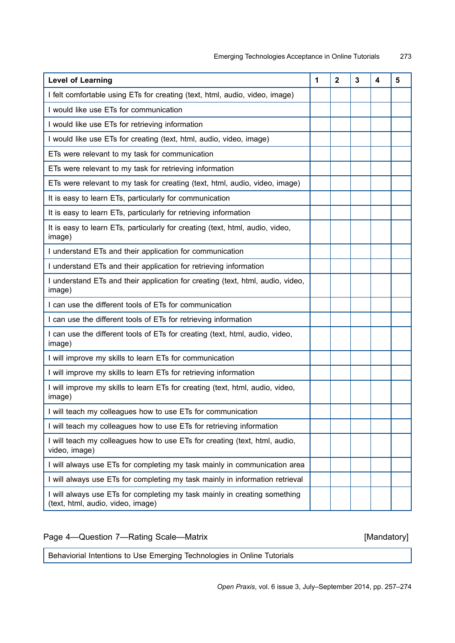| <b>Level of Learning</b>                                                                                       | 1 | $\mathbf{2}$ | 3 | 4 | 5 |
|----------------------------------------------------------------------------------------------------------------|---|--------------|---|---|---|
| I felt comfortable using ETs for creating (text, html, audio, video, image)                                    |   |              |   |   |   |
| I would like use ETs for communication                                                                         |   |              |   |   |   |
| I would like use ETs for retrieving information                                                                |   |              |   |   |   |
| I would like use ETs for creating (text, html, audio, video, image)                                            |   |              |   |   |   |
| ETs were relevant to my task for communication                                                                 |   |              |   |   |   |
| ETs were relevant to my task for retrieving information                                                        |   |              |   |   |   |
| ETs were relevant to my task for creating (text, html, audio, video, image)                                    |   |              |   |   |   |
| It is easy to learn ETs, particularly for communication                                                        |   |              |   |   |   |
| It is easy to learn ETs, particularly for retrieving information                                               |   |              |   |   |   |
| It is easy to learn ETs, particularly for creating (text, html, audio, video,<br>image)                        |   |              |   |   |   |
| I understand ETs and their application for communication                                                       |   |              |   |   |   |
| I understand ETs and their application for retrieving information                                              |   |              |   |   |   |
| I understand ETs and their application for creating (text, html, audio, video,<br>image)                       |   |              |   |   |   |
| I can use the different tools of ETs for communication                                                         |   |              |   |   |   |
| I can use the different tools of ETs for retrieving information                                                |   |              |   |   |   |
| I can use the different tools of ETs for creating (text, html, audio, video,<br>image)                         |   |              |   |   |   |
| I will improve my skills to learn ETs for communication                                                        |   |              |   |   |   |
| I will improve my skills to learn ETs for retrieving information                                               |   |              |   |   |   |
| I will improve my skills to learn ETs for creating (text, html, audio, video,<br>image)                        |   |              |   |   |   |
| I will teach my colleagues how to use ETs for communication                                                    |   |              |   |   |   |
| I will teach my colleagues how to use ETs for retrieving information                                           |   |              |   |   |   |
| I will teach my colleagues how to use ETs for creating (text, html, audio,<br>video, image)                    |   |              |   |   |   |
| I will always use ETs for completing my task mainly in communication area                                      |   |              |   |   |   |
| I will always use ETs for completing my task mainly in information retrieval                                   |   |              |   |   |   |
| I will always use ETs for completing my task mainly in creating something<br>(text, html, audio, video, image) |   |              |   |   |   |

Page 4—Question 7—Rating Scale—Matrix **Example 20 and Tanachon** [Mandatory]

Behaviorial Intentions to Use Emerging Technologies in Online Tutorials